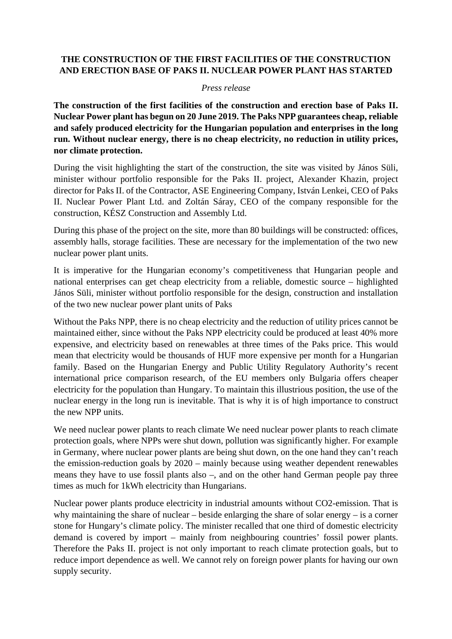## **THE CONSTRUCTION OF THE FIRST FACILITIES OF THE CONSTRUCTION AND ERECTION BASE OF PAKS II. NUCLEAR POWER PLANT HAS STARTED**

## *Press release*

**The construction of the first facilities of the construction and erection base of Paks II. Nuclear Power plant has begun on 20 June 2019. The Paks NPP guarantees cheap, reliable and safely produced electricity for the Hungarian population and enterprises in the long run. Without nuclear energy, there is no cheap electricity, no reduction in utility prices, nor climate protection.**

During the visit highlighting the start of the construction, the site was visited by János Süli, minister withour portfolio responsible for the Paks II. project, Alexander Khazin, project director for Paks II. of the Contractor, ASE Engineering Company, István Lenkei, CEO of Paks II. Nuclear Power Plant Ltd. and Zoltán Sáray, CEO of the company responsible for the construction, KÉSZ Construction and Assembly Ltd.

During this phase of the project on the site, more than 80 buildings will be constructed: offices, assembly halls, storage facilities. These are necessary for the implementation of the two new nuclear power plant units.

It is imperative for the Hungarian economy's competitiveness that Hungarian people and national enterprises can get cheap electricity from a reliable, domestic source – highlighted János Süli, minister without portfolio responsible for the design, construction and installation of the two new nuclear power plant units of Paks

Without the Paks NPP, there is no cheap electricity and the reduction of utility prices cannot be maintained either, since without the Paks NPP electricity could be produced at least 40% more expensive, and electricity based on renewables at three times of the Paks price. This would mean that electricity would be thousands of HUF more expensive per month for a Hungarian family. Based on the Hungarian Energy and Public Utility Regulatory Authority's recent international price comparison research, of the EU members only Bulgaria offers cheaper electricity for the population than Hungary. To maintain this illustrious position, the use of the nuclear energy in the long run is inevitable. That is why it is of high importance to construct the new NPP units.

We need nuclear power plants to reach climate We need nuclear power plants to reach climate protection goals, where NPPs were shut down, pollution was significantly higher. For example in Germany, where nuclear power plants are being shut down, on the one hand they can't reach the emission-reduction goals by 2020 – mainly because using weather dependent renewables means they have to use fossil plants also –, and on the other hand German people pay three times as much for 1kWh electricity than Hungarians.

Nuclear power plants produce electricity in industrial amounts without CO2-emission. That is why maintaining the share of nuclear – beside enlarging the share of solar energy – is a corner stone for Hungary's climate policy. The minister recalled that one third of domestic electricity demand is covered by import – mainly from neighbouring countries' fossil power plants. Therefore the Paks II. project is not only important to reach climate protection goals, but to reduce import dependence as well. We cannot rely on foreign power plants for having our own supply security.